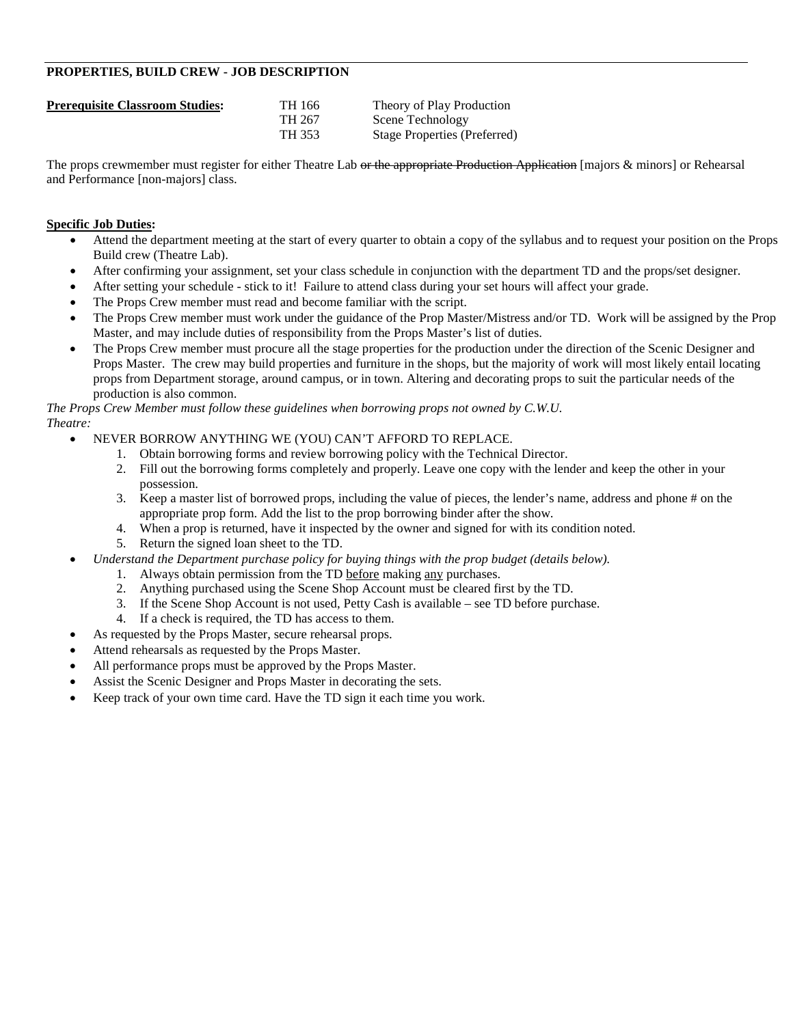# **PROPERTIES, BUILD CREW - JOB DESCRIPTION**

| <b>Prerequisite Classroom Studies:</b> | TH 166 | Theory of Play Production           |
|----------------------------------------|--------|-------------------------------------|
|                                        | TH 267 | Scene Technology                    |
|                                        | TH 353 | <b>Stage Properties (Preferred)</b> |

The props crewmember must register for either Theatre Lab or the appropriate Production Application [majors & minors] or Rehearsal and Performance [non-majors] class.

### **Specific Job Duties:**

- Attend the department meeting at the start of every quarter to obtain a copy of the syllabus and to request your position on the Props Build crew (Theatre Lab).
- After confirming your assignment, set your class schedule in conjunction with the department TD and the props/set designer.
- After setting your schedule stick to it! Failure to attend class during your set hours will affect your grade.
- The Props Crew member must read and become familiar with the script.
- The Props Crew member must work under the guidance of the Prop Master/Mistress and/or TD. Work will be assigned by the Prop Master, and may include duties of responsibility from the Props Master's list of duties.
- The Props Crew member must procure all the stage properties for the production under the direction of the Scenic Designer and Props Master. The crew may build properties and furniture in the shops, but the majority of work will most likely entail locating props from Department storage, around campus, or in town. Altering and decorating props to suit the particular needs of the production is also common.

*The Props Crew Member must follow these guidelines when borrowing props not owned by C.W.U. Theatre:*

- NEVER BORROW ANYTHING WE (YOU) CAN'T AFFORD TO REPLACE.
	- 1. Obtain borrowing forms and review borrowing policy with the Technical Director.
	- 2. Fill out the borrowing forms completely and properly. Leave one copy with the lender and keep the other in your possession.
	- 3. Keep a master list of borrowed props, including the value of pieces, the lender's name, address and phone # on the appropriate prop form. Add the list to the prop borrowing binder after the show.
	- 4. When a prop is returned, have it inspected by the owner and signed for with its condition noted.
	- 5. Return the signed loan sheet to the TD.
- *Understand the Department purchase policy for buying things with the prop budget (details below).*
	- 1. Always obtain permission from the TD before making any purchases.
	- 2. Anything purchased using the Scene Shop Account must be cleared first by the TD.
	- 3. If the Scene Shop Account is not used, Petty Cash is available see TD before purchase.
	- 4. If a check is required, the TD has access to them.
	- As requested by the Props Master, secure rehearsal props.
- Attend rehearsals as requested by the Props Master.
- All performance props must be approved by the Props Master.
- Assist the Scenic Designer and Props Master in decorating the sets.
- Keep track of your own time card. Have the TD sign it each time you work.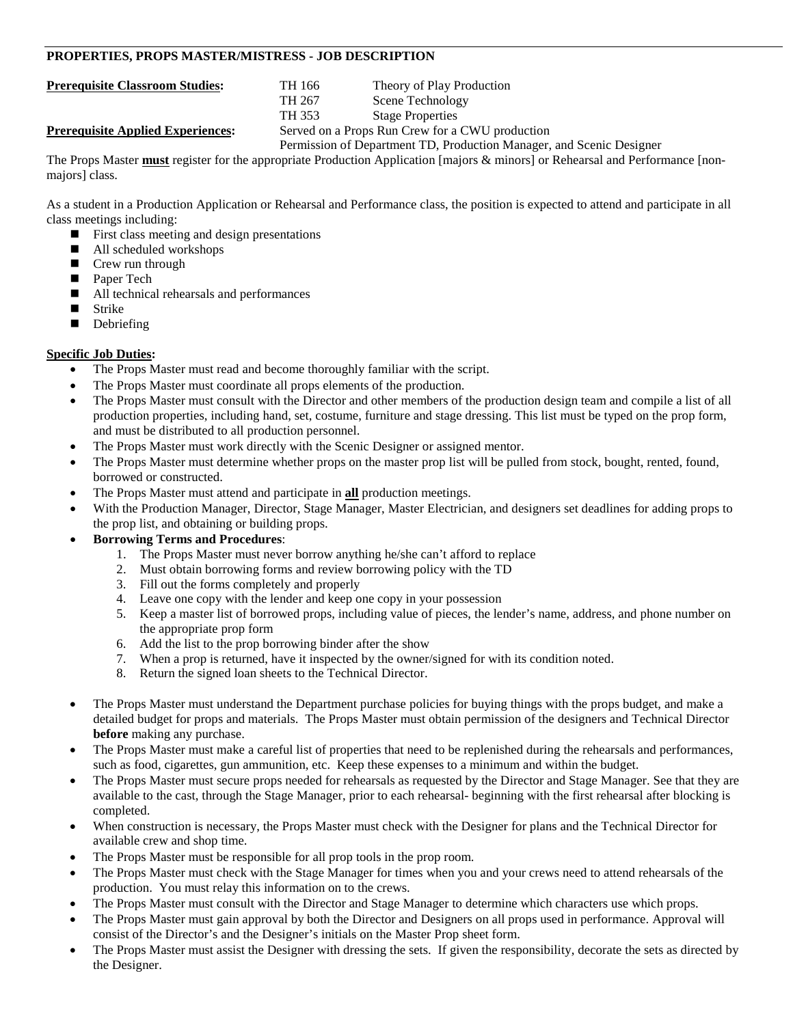### **PROPERTIES, PROPS MASTER/MISTRESS - JOB DESCRIPTION**

**Prerequisite Classroom Studies:** TH 166 Theory of Play Production TH 267 Scene Technology<br>TH 353 Stage Properties **Stage Properties Prerequisite Applied Experiences:** Served on a Props Run Crew for a CWU production

Permission of Department TD, Production Manager, and Scenic Designer

The Props Master **must** register for the appropriate Production Application [majors & minors] or Rehearsal and Performance [nonmajors] class.

As a student in a Production Application or Rehearsal and Performance class, the position is expected to attend and participate in all class meetings including:

- **First class meeting and design presentations**
- All scheduled workshops
- Crew run through
- Paper Tech
- All technical rehearsals and performances
- **Strike**
- Debriefing

- The Props Master must read and become thoroughly familiar with the script.
- The Props Master must coordinate all props elements of the production.
- The Props Master must consult with the Director and other members of the production design team and compile a list of all production properties, including hand, set, costume, furniture and stage dressing. This list must be typed on the prop form, and must be distributed to all production personnel.
- The Props Master must work directly with the Scenic Designer or assigned mentor.
- The Props Master must determine whether props on the master prop list will be pulled from stock, bought, rented, found, borrowed or constructed.
- The Props Master must attend and participate in **all** production meetings.
- With the Production Manager, Director, Stage Manager, Master Electrician, and designers set deadlines for adding props to the prop list, and obtaining or building props.
- **Borrowing Terms and Procedures**:
	- 1. The Props Master must never borrow anything he/she can't afford to replace
	- 2. Must obtain borrowing forms and review borrowing policy with the TD
	- 3. Fill out the forms completely and properly
	- 4. Leave one copy with the lender and keep one copy in your possession
	- 5. Keep a master list of borrowed props, including value of pieces, the lender's name, address, and phone number on the appropriate prop form
	- 6. Add the list to the prop borrowing binder after the show
	- 7. When a prop is returned, have it inspected by the owner/signed for with its condition noted.
	- 8. Return the signed loan sheets to the Technical Director.
- The Props Master must understand the Department purchase policies for buying things with the props budget, and make a detailed budget for props and materials. The Props Master must obtain permission of the designers and Technical Director **before** making any purchase.
- The Props Master must make a careful list of properties that need to be replenished during the rehearsals and performances, such as food, cigarettes, gun ammunition, etc. Keep these expenses to a minimum and within the budget.
- The Props Master must secure props needed for rehearsals as requested by the Director and Stage Manager. See that they are available to the cast, through the Stage Manager, prior to each rehearsal- beginning with the first rehearsal after blocking is completed.
- When construction is necessary, the Props Master must check with the Designer for plans and the Technical Director for available crew and shop time.
- The Props Master must be responsible for all prop tools in the prop room.
- The Props Master must check with the Stage Manager for times when you and your crews need to attend rehearsals of the production. You must relay this information on to the crews.
- The Props Master must consult with the Director and Stage Manager to determine which characters use which props.
- The Props Master must gain approval by both the Director and Designers on all props used in performance. Approval will consist of the Director's and the Designer's initials on the Master Prop sheet form.
- The Props Master must assist the Designer with dressing the sets. If given the responsibility, decorate the sets as directed by the Designer.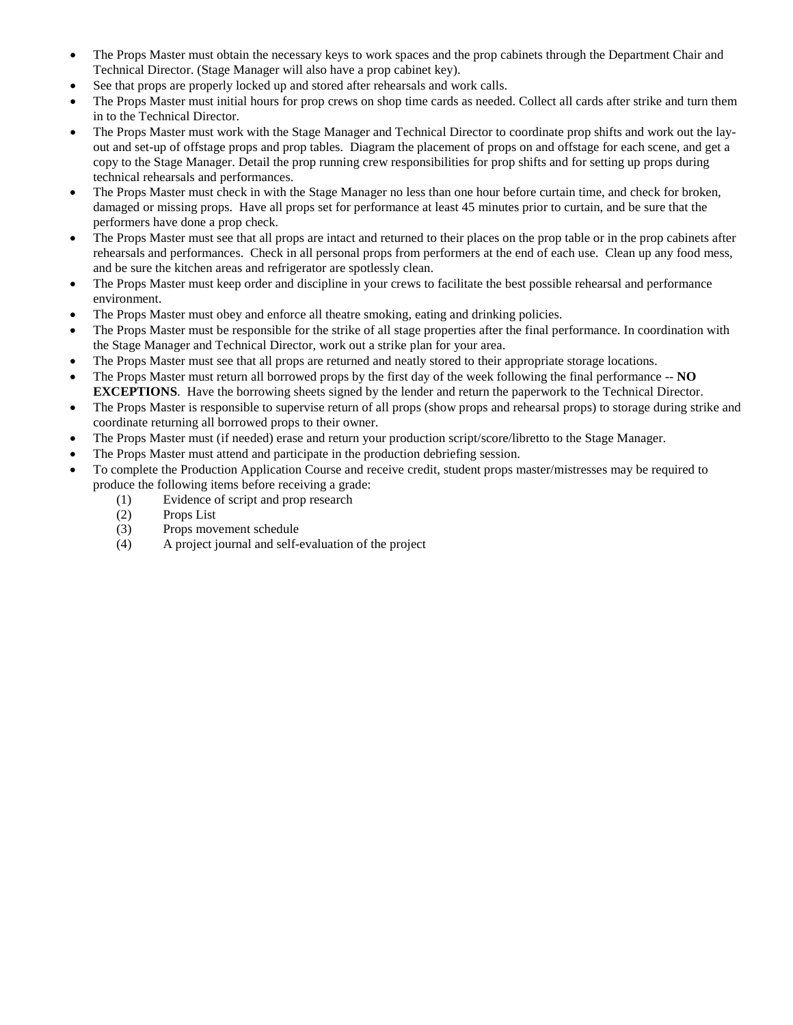- The Props Master must obtain the necessary keys to work spaces and the prop cabinets through the Department Chair and Technical Director. (Stage Manager will also have a prop cabinet key).
- See that props are properly locked up and stored after rehearsals and work calls.
- The Props Master must initial hours for prop crews on shop time cards as needed. Collect all cards after strike and turn them in to the Technical Director.
- The Props Master must work with the Stage Manager and Technical Director to coordinate prop shifts and work out the layout and set-up of offstage props and prop tables. Diagram the placement of props on and offstage for each scene, and get a copy to the Stage Manager. Detail the prop running crew responsibilities for prop shifts and for setting up props during technical rehearsals and performances.
- The Props Master must check in with the Stage Manager no less than one hour before curtain time, and check for broken, damaged or missing props. Have all props set for performance at least 45 minutes prior to curtain, and be sure that the performers have done a prop check.
- The Props Master must see that all props are intact and returned to their places on the prop table or in the prop cabinets after rehearsals and performances. Check in all personal props from performers at the end of each use. Clean up any food mess, and be sure the kitchen areas and refrigerator are spotlessly clean.
- The Props Master must keep order and discipline in your crews to facilitate the best possible rehearsal and performance environment.
- The Props Master must obey and enforce all theatre smoking, eating and drinking policies.
- The Props Master must be responsible for the strike of all stage properties after the final performance. In coordination with the Stage Manager and Technical Director, work out a strike plan for your area.
- The Props Master must see that all props are returned and neatly stored to their appropriate storage locations.
- The Props Master must return all borrowed props by the first day of the week following the final performance -- **NO EXCEPTIONS**. Have the borrowing sheets signed by the lender and return the paperwork to the Technical Director.
- The Props Master is responsible to supervise return of all props (show props and rehearsal props) to storage during strike and coordinate returning all borrowed props to their owner.
- The Props Master must (if needed) erase and return your production script/score/libretto to the Stage Manager.
- The Props Master must attend and participate in the production debriefing session.
- To complete the Production Application Course and receive credit, student props master/mistresses may be required to produce the following items before receiving a grade:
	- (1) Evidence of script and prop research
	- (2) Props List
	- (3) Props movement schedule
	- (4) A project journal and self-evaluation of the project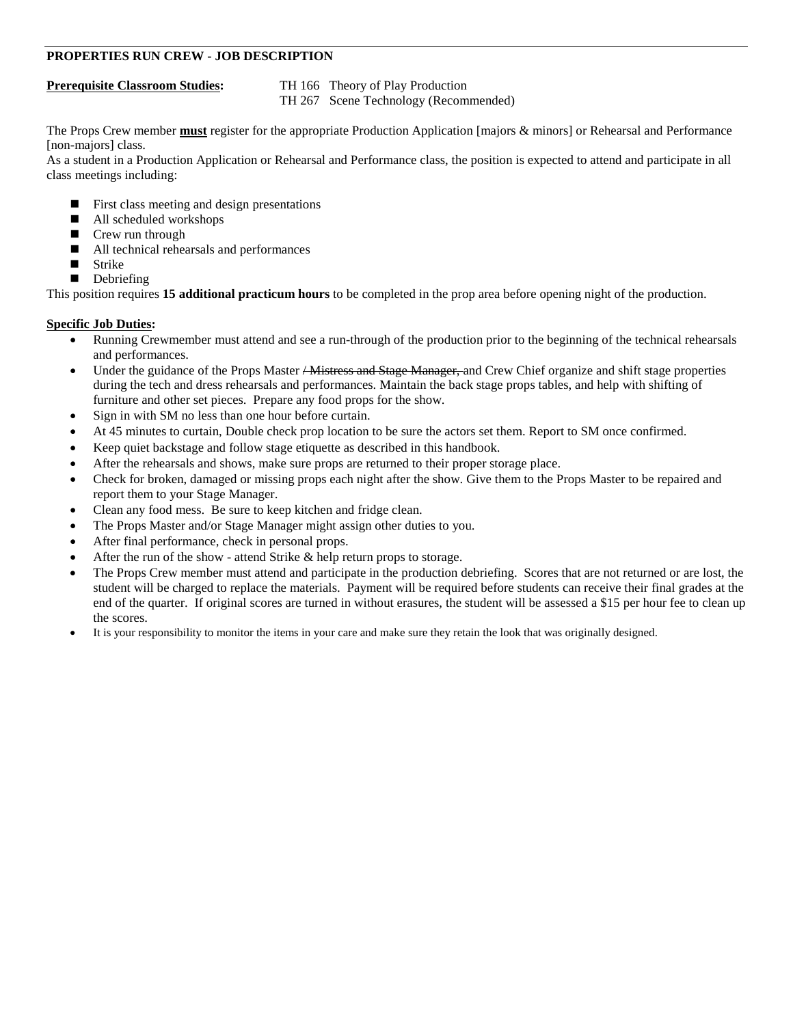# **PROPERTIES RUN CREW - JOB DESCRIPTION**

**Prerequisite Classroom Studies:** TH 166 Theory of Play Production TH 267 Scene Technology (Recommended)

The Props Crew member **must** register for the appropriate Production Application [majors & minors] or Rehearsal and Performance [non-majors] class.

As a student in a Production Application or Rehearsal and Performance class, the position is expected to attend and participate in all class meetings including:

- $\blacksquare$  First class meeting and design presentations
- All scheduled workshops
- Crew run through
- All technical rehearsals and performances
- **Strike**
- Debriefing

This position requires **15 additional practicum hours** to be completed in the prop area before opening night of the production.

- Running Crewmember must attend and see a run-through of the production prior to the beginning of the technical rehearsals and performances.
- Under the guidance of the Props Master <del>/ Mistress and Stage Manager, a</del>nd Crew Chief organize and shift stage properties during the tech and dress rehearsals and performances. Maintain the back stage props tables, and help with shifting of furniture and other set pieces. Prepare any food props for the show.
- Sign in with SM no less than one hour before curtain.
- At 45 minutes to curtain, Double check prop location to be sure the actors set them. Report to SM once confirmed.
- Keep quiet backstage and follow stage etiquette as described in this handbook.
- After the rehearsals and shows, make sure props are returned to their proper storage place.
- Check for broken, damaged or missing props each night after the show. Give them to the Props Master to be repaired and report them to your Stage Manager.
- Clean any food mess. Be sure to keep kitchen and fridge clean.
- The Props Master and/or Stage Manager might assign other duties to you.
- After final performance, check in personal props.
- After the run of the show attend Strike & help return props to storage.
- The Props Crew member must attend and participate in the production debriefing. Scores that are not returned or are lost, the student will be charged to replace the materials. Payment will be required before students can receive their final grades at the end of the quarter. If original scores are turned in without erasures, the student will be assessed a \$15 per hour fee to clean up the scores.
- It is your responsibility to monitor the items in your care and make sure they retain the look that was originally designed.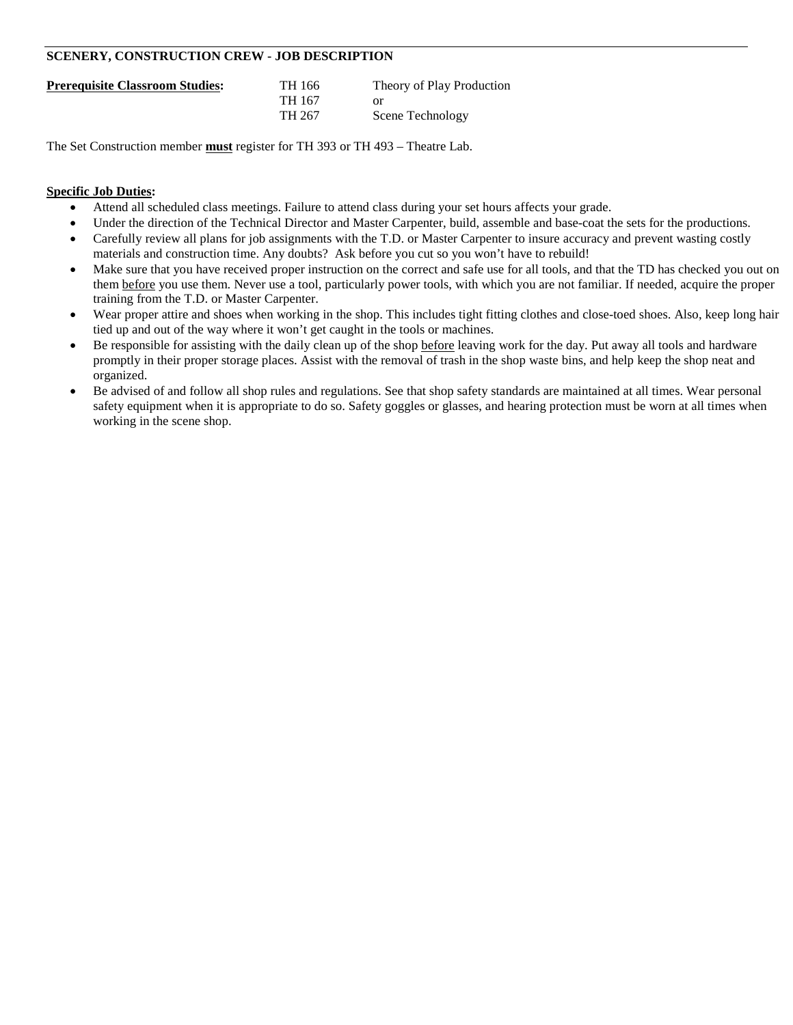# **SCENERY, CONSTRUCTION CREW - JOB DESCRIPTION**

| <b>Prerequisite Classroom Studies:</b> | TH 166 | Theory of Play Production |
|----------------------------------------|--------|---------------------------|
|                                        | TH 167 |                           |
|                                        | TH 267 | Scene Technology          |

The Set Construction member **must** register for TH 393 or TH 493 – Theatre Lab.

- Attend all scheduled class meetings. Failure to attend class during your set hours affects your grade.
- Under the direction of the Technical Director and Master Carpenter, build, assemble and base-coat the sets for the productions.
- Carefully review all plans for job assignments with the T.D. or Master Carpenter to insure accuracy and prevent wasting costly materials and construction time. Any doubts? Ask before you cut so you won't have to rebuild!
- Make sure that you have received proper instruction on the correct and safe use for all tools, and that the TD has checked you out on them before you use them. Never use a tool, particularly power tools, with which you are not familiar. If needed, acquire the proper training from the T.D. or Master Carpenter.
- Wear proper attire and shoes when working in the shop. This includes tight fitting clothes and close-toed shoes. Also, keep long hair tied up and out of the way where it won't get caught in the tools or machines.
- Be responsible for assisting with the daily clean up of the shop before leaving work for the day. Put away all tools and hardware promptly in their proper storage places. Assist with the removal of trash in the shop waste bins, and help keep the shop neat and organized.
- Be advised of and follow all shop rules and regulations. See that shop safety standards are maintained at all times. Wear personal safety equipment when it is appropriate to do so. Safety goggles or glasses, and hearing protection must be worn at all times when working in the scene shop.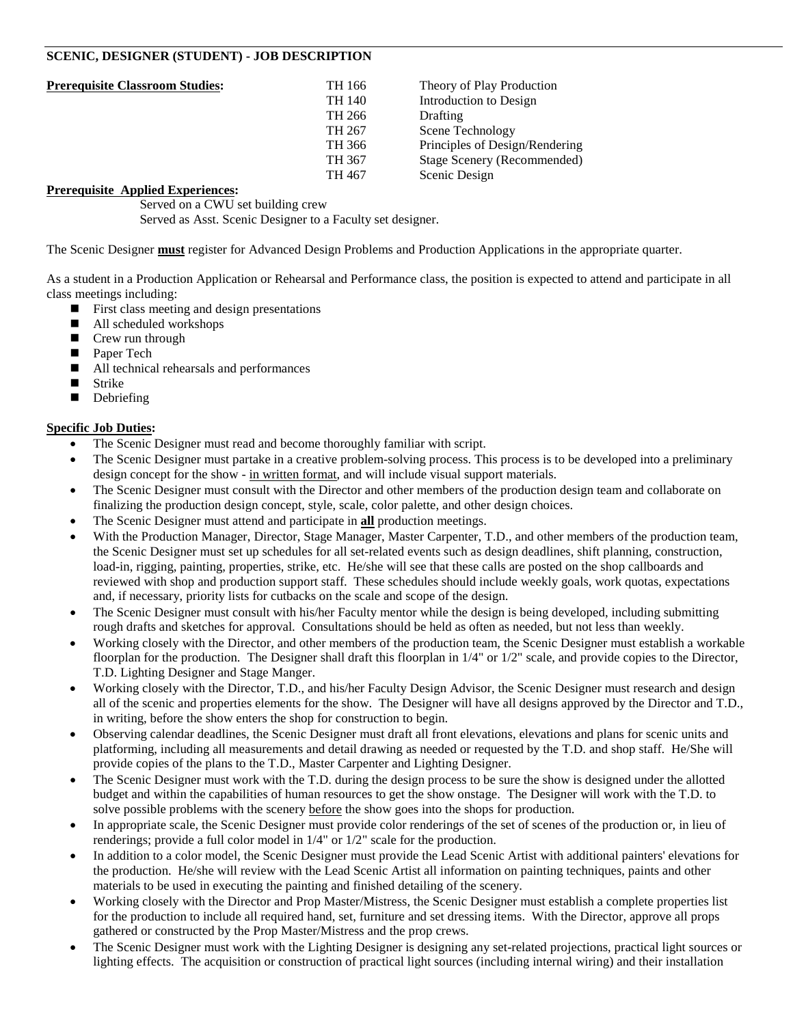# **SCENIC, DESIGNER (STUDENT) - JOB DESCRIPTION**

| <b>Prerequisite Classroom Studies:</b> | TH 166 | Theory of Play Production      |
|----------------------------------------|--------|--------------------------------|
|                                        | TH 140 | Introduction to Design         |
|                                        | TH 266 | Drafting                       |
|                                        | TH 267 | Scene Technology               |
|                                        | TH 366 | Principles of Design/Rendering |
|                                        | TH 367 | Stage Scenery (Recommended)    |
|                                        | TH 467 | Scenic Design                  |
|                                        |        |                                |

### **Prerequisite Applied Experiences:**

Served on a CWU set building crew Served as Asst. Scenic Designer to a Faculty set designer.

The Scenic Designer **must** register for Advanced Design Problems and Production Applications in the appropriate quarter.

As a student in a Production Application or Rehearsal and Performance class, the position is expected to attend and participate in all class meetings including:

- $\blacksquare$  First class meeting and design presentations
- All scheduled workshops
- Crew run through
- Paper Tech
- All technical rehearsals and performances<br>■ Strike
- Strike
- Debriefing

- The Scenic Designer must read and become thoroughly familiar with script.
- The Scenic Designer must partake in a creative problem-solving process. This process is to be developed into a preliminary design concept for the show - in written format, and will include visual support materials.
- The Scenic Designer must consult with the Director and other members of the production design team and collaborate on finalizing the production design concept, style, scale, color palette, and other design choices.
- The Scenic Designer must attend and participate in **all** production meetings.
- With the Production Manager, Director, Stage Manager, Master Carpenter, T.D., and other members of the production team, the Scenic Designer must set up schedules for all set-related events such as design deadlines, shift planning, construction, load-in, rigging, painting, properties, strike, etc. He/she will see that these calls are posted on the shop callboards and reviewed with shop and production support staff. These schedules should include weekly goals, work quotas, expectations and, if necessary, priority lists for cutbacks on the scale and scope of the design.
- The Scenic Designer must consult with his/her Faculty mentor while the design is being developed, including submitting rough drafts and sketches for approval. Consultations should be held as often as needed, but not less than weekly.
- Working closely with the Director, and other members of the production team, the Scenic Designer must establish a workable floorplan for the production. The Designer shall draft this floorplan in  $1/4$ " or  $1/2$ " scale, and provide copies to the Director, T.D. Lighting Designer and Stage Manger.
- Working closely with the Director, T.D., and his/her Faculty Design Advisor, the Scenic Designer must research and design all of the scenic and properties elements for the show. The Designer will have all designs approved by the Director and T.D., in writing, before the show enters the shop for construction to begin.
- Observing calendar deadlines, the Scenic Designer must draft all front elevations, elevations and plans for scenic units and platforming, including all measurements and detail drawing as needed or requested by the T.D. and shop staff. He/She will provide copies of the plans to the T.D., Master Carpenter and Lighting Designer.
- The Scenic Designer must work with the T.D. during the design process to be sure the show is designed under the allotted budget and within the capabilities of human resources to get the show onstage. The Designer will work with the T.D. to solve possible problems with the scenery **before** the show goes into the shops for production.
- In appropriate scale, the Scenic Designer must provide color renderings of the set of scenes of the production or, in lieu of renderings; provide a full color model in 1/4" or 1/2" scale for the production.
- In addition to a color model, the Scenic Designer must provide the Lead Scenic Artist with additional painters' elevations for the production. He/she will review with the Lead Scenic Artist all information on painting techniques, paints and other materials to be used in executing the painting and finished detailing of the scenery.
- Working closely with the Director and Prop Master/Mistress, the Scenic Designer must establish a complete properties list for the production to include all required hand, set, furniture and set dressing items. With the Director, approve all props gathered or constructed by the Prop Master/Mistress and the prop crews.
- The Scenic Designer must work with the Lighting Designer is designing any set-related projections, practical light sources or lighting effects. The acquisition or construction of practical light sources (including internal wiring) and their installation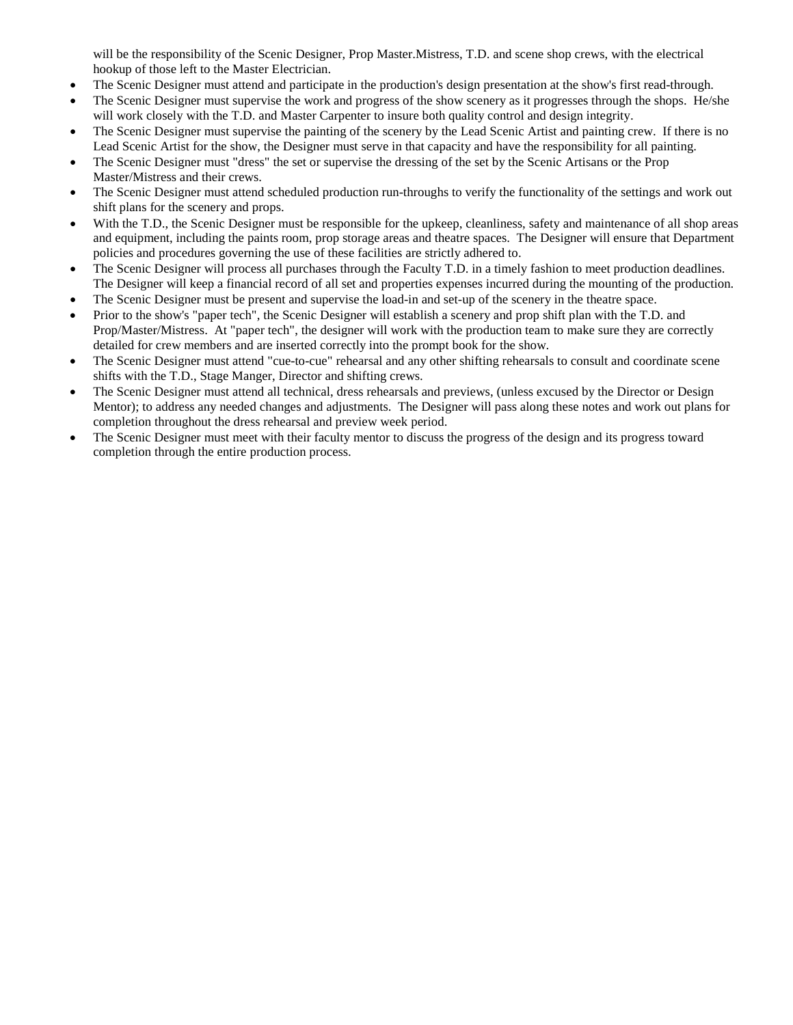will be the responsibility of the Scenic Designer, Prop Master. Mistress, T.D. and scene shop crews, with the electrical hookup of those left to the Master Electrician.

- The Scenic Designer must attend and participate in the production's design presentation at the show's first read-through.
- The Scenic Designer must supervise the work and progress of the show scenery as it progresses through the shops. He/she will work closely with the T.D. and Master Carpenter to insure both quality control and design integrity.
- The Scenic Designer must supervise the painting of the scenery by the Lead Scenic Artist and painting crew. If there is no Lead Scenic Artist for the show, the Designer must serve in that capacity and have the responsibility for all painting.
- The Scenic Designer must "dress" the set or supervise the dressing of the set by the Scenic Artisans or the Prop Master/Mistress and their crews.
- The Scenic Designer must attend scheduled production run-throughs to verify the functionality of the settings and work out shift plans for the scenery and props.
- With the T.D., the Scenic Designer must be responsible for the upkeep, cleanliness, safety and maintenance of all shop areas and equipment, including the paints room, prop storage areas and theatre spaces. The Designer will ensure that Department policies and procedures governing the use of these facilities are strictly adhered to.
- The Scenic Designer will process all purchases through the Faculty T.D. in a timely fashion to meet production deadlines. The Designer will keep a financial record of all set and properties expenses incurred during the mounting of the production.
- The Scenic Designer must be present and supervise the load-in and set-up of the scenery in the theatre space.
- Prior to the show's "paper tech", the Scenic Designer will establish a scenery and prop shift plan with the T.D. and Prop/Master/Mistress. At "paper tech", the designer will work with the production team to make sure they are correctly detailed for crew members and are inserted correctly into the prompt book for the show.
- The Scenic Designer must attend "cue-to-cue" rehearsal and any other shifting rehearsals to consult and coordinate scene shifts with the T.D., Stage Manger, Director and shifting crews.
- The Scenic Designer must attend all technical, dress rehearsals and previews, (unless excused by the Director or Design Mentor); to address any needed changes and adjustments. The Designer will pass along these notes and work out plans for completion throughout the dress rehearsal and preview week period.
- The Scenic Designer must meet with their faculty mentor to discuss the progress of the design and its progress toward completion through the entire production process.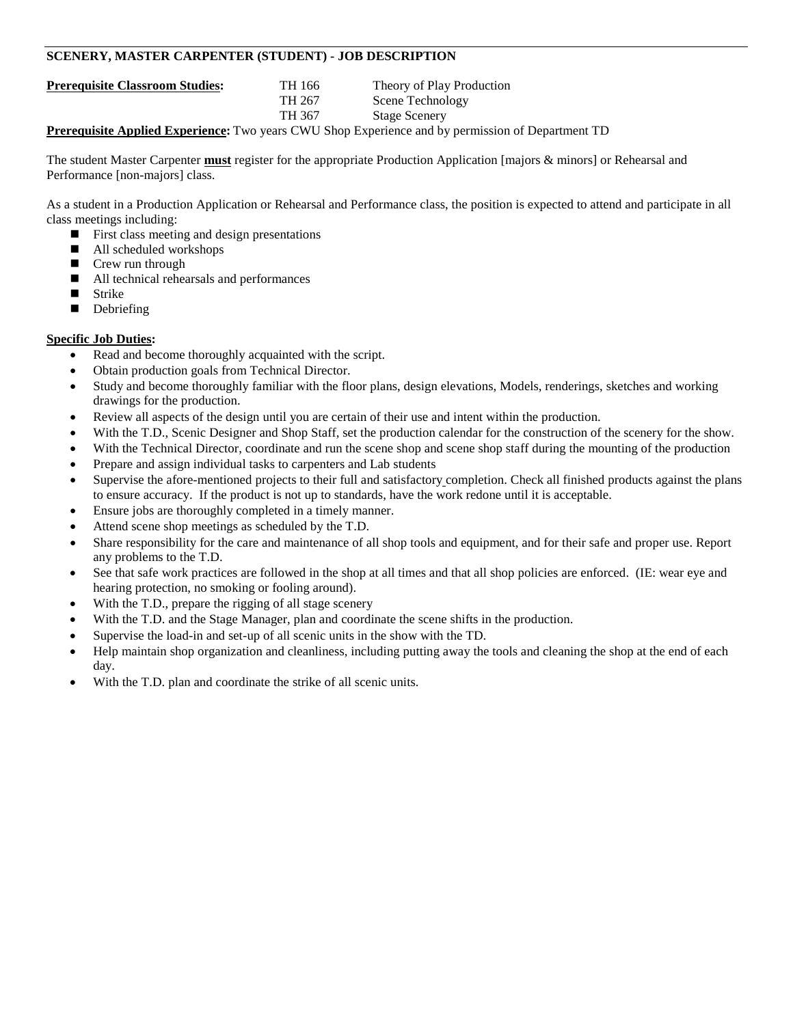# **SCENERY, MASTER CARPENTER (STUDENT) - JOB DESCRIPTION**

**Prerequisite Classroom Studies:** TH 166 Theory of Play Production TH 267 Scene Technology<br>TH 367 Stage Scenery **Stage Scenery** 

**Prerequisite Applied Experience:** Two years CWU Shop Experience and by permission of Department TD

The student Master Carpenter **must** register for the appropriate Production Application [majors & minors] or Rehearsal and Performance [non-majors] class.

As a student in a Production Application or Rehearsal and Performance class, the position is expected to attend and participate in all class meetings including:

- $\blacksquare$  First class meeting and design presentations
- All scheduled workshops
- Crew run through
- All technical rehearsals and performances
- Strike
- Debriefing

- Read and become thoroughly acquainted with the script.
- Obtain production goals from Technical Director.
- Study and become thoroughly familiar with the floor plans, design elevations, Models, renderings, sketches and working drawings for the production.
- Review all aspects of the design until you are certain of their use and intent within the production.
- With the T.D., Scenic Designer and Shop Staff, set the production calendar for the construction of the scenery for the show.
- With the Technical Director, coordinate and run the scene shop and scene shop staff during the mounting of the production
- Prepare and assign individual tasks to carpenters and Lab students
- Supervise the afore-mentioned projects to their full and satisfactory completion. Check all finished products against the plans to ensure accuracy. If the product is not up to standards, have the work redone until it is acceptable.
- Ensure jobs are thoroughly completed in a timely manner.
- Attend scene shop meetings as scheduled by the T.D.
- Share responsibility for the care and maintenance of all shop tools and equipment, and for their safe and proper use. Report any problems to the T.D.
- See that safe work practices are followed in the shop at all times and that all shop policies are enforced. (IE: wear eye and hearing protection, no smoking or fooling around).
- With the T.D., prepare the rigging of all stage scenery
- With the T.D. and the Stage Manager, plan and coordinate the scene shifts in the production.
- Supervise the load-in and set-up of all scenic units in the show with the TD.
- Help maintain shop organization and cleanliness, including putting away the tools and cleaning the shop at the end of each day.
- With the T.D. plan and coordinate the strike of all scenic units.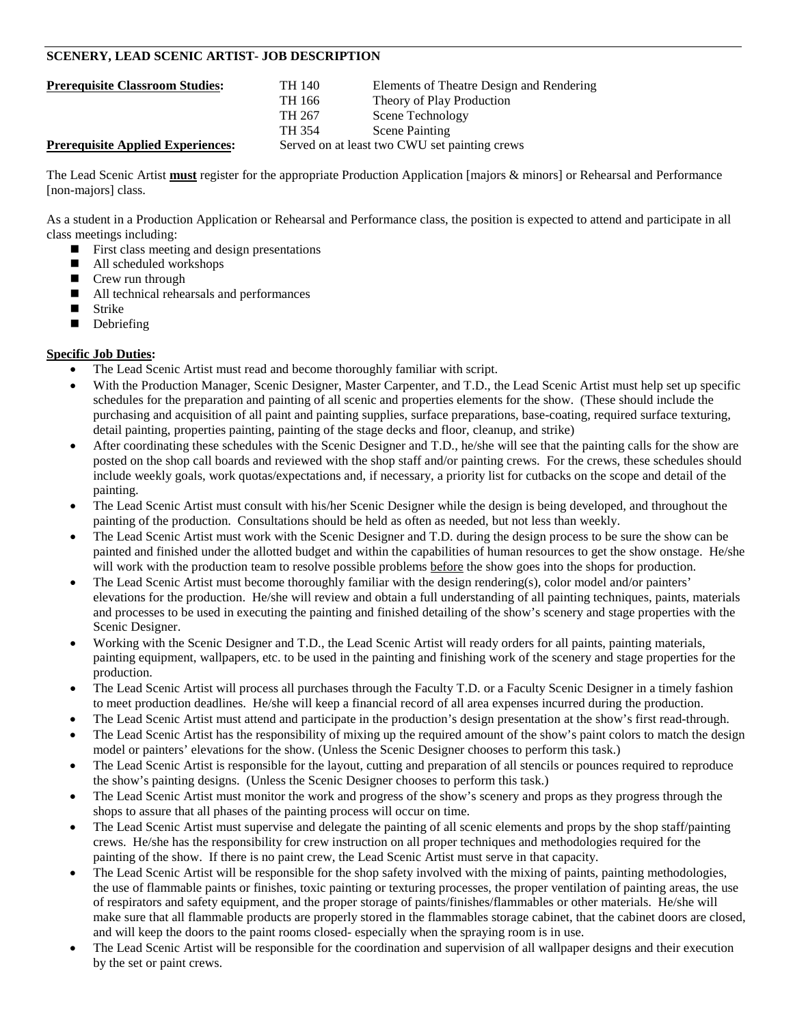# **SCENERY, LEAD SCENIC ARTIST- JOB DESCRIPTION**

| <b>Prerequisite Classroom Studies:</b>   | TH 140 | Elements of Theatre Design and Rendering      |
|------------------------------------------|--------|-----------------------------------------------|
|                                          | TH 166 | Theory of Play Production                     |
|                                          | TH 267 | Scene Technology                              |
|                                          | TH 354 | <b>Scene Painting</b>                         |
| <b>Prerequisite Applied Experiences:</b> |        | Served on at least two CWU set painting crews |

The Lead Scenic Artist **must** register for the appropriate Production Application [majors & minors] or Rehearsal and Performance [non-majors] class.

As a student in a Production Application or Rehearsal and Performance class, the position is expected to attend and participate in all class meetings including:

- $\blacksquare$  First class meeting and design presentations
- All scheduled workshops
- Crew run through
- All technical rehearsals and performances
- **Strike**
- Debriefing

- The Lead Scenic Artist must read and become thoroughly familiar with script.
- With the Production Manager, Scenic Designer, Master Carpenter, and T.D., the Lead Scenic Artist must help set up specific schedules for the preparation and painting of all scenic and properties elements for the show. (These should include the purchasing and acquisition of all paint and painting supplies, surface preparations, base-coating, required surface texturing, detail painting, properties painting, painting of the stage decks and floor, cleanup, and strike)
- After coordinating these schedules with the Scenic Designer and T.D., he/she will see that the painting calls for the show are posted on the shop call boards and reviewed with the shop staff and/or painting crews. For the crews, these schedules should include weekly goals, work quotas/expectations and, if necessary, a priority list for cutbacks on the scope and detail of the painting.
- The Lead Scenic Artist must consult with his/her Scenic Designer while the design is being developed, and throughout the painting of the production. Consultations should be held as often as needed, but not less than weekly.
- The Lead Scenic Artist must work with the Scenic Designer and T.D. during the design process to be sure the show can be painted and finished under the allotted budget and within the capabilities of human resources to get the show onstage. He/she will work with the production team to resolve possible problems before the show goes into the shops for production.
- The Lead Scenic Artist must become thoroughly familiar with the design rendering(s), color model and/or painters' elevations for the production. He/she will review and obtain a full understanding of all painting techniques, paints, materials and processes to be used in executing the painting and finished detailing of the show's scenery and stage properties with the Scenic Designer.
- Working with the Scenic Designer and T.D., the Lead Scenic Artist will ready orders for all paints, painting materials, painting equipment, wallpapers, etc. to be used in the painting and finishing work of the scenery and stage properties for the production.
- The Lead Scenic Artist will process all purchases through the Faculty T.D. or a Faculty Scenic Designer in a timely fashion to meet production deadlines. He/she will keep a financial record of all area expenses incurred during the production.
- The Lead Scenic Artist must attend and participate in the production's design presentation at the show's first read-through.
- The Lead Scenic Artist has the responsibility of mixing up the required amount of the show's paint colors to match the design model or painters' elevations for the show. (Unless the Scenic Designer chooses to perform this task.)
- The Lead Scenic Artist is responsible for the layout, cutting and preparation of all stencils or pounces required to reproduce the show's painting designs. (Unless the Scenic Designer chooses to perform this task.)
- The Lead Scenic Artist must monitor the work and progress of the show's scenery and props as they progress through the shops to assure that all phases of the painting process will occur on time.
- The Lead Scenic Artist must supervise and delegate the painting of all scenic elements and props by the shop staff/painting crews. He/she has the responsibility for crew instruction on all proper techniques and methodologies required for the painting of the show. If there is no paint crew, the Lead Scenic Artist must serve in that capacity.
- The Lead Scenic Artist will be responsible for the shop safety involved with the mixing of paints, painting methodologies, the use of flammable paints or finishes, toxic painting or texturing processes, the proper ventilation of painting areas, the use of respirators and safety equipment, and the proper storage of paints/finishes/flammables or other materials. He/she will make sure that all flammable products are properly stored in the flammables storage cabinet, that the cabinet doors are closed, and will keep the doors to the paint rooms closed- especially when the spraying room is in use.
- The Lead Scenic Artist will be responsible for the coordination and supervision of all wallpaper designs and their execution by the set or paint crews.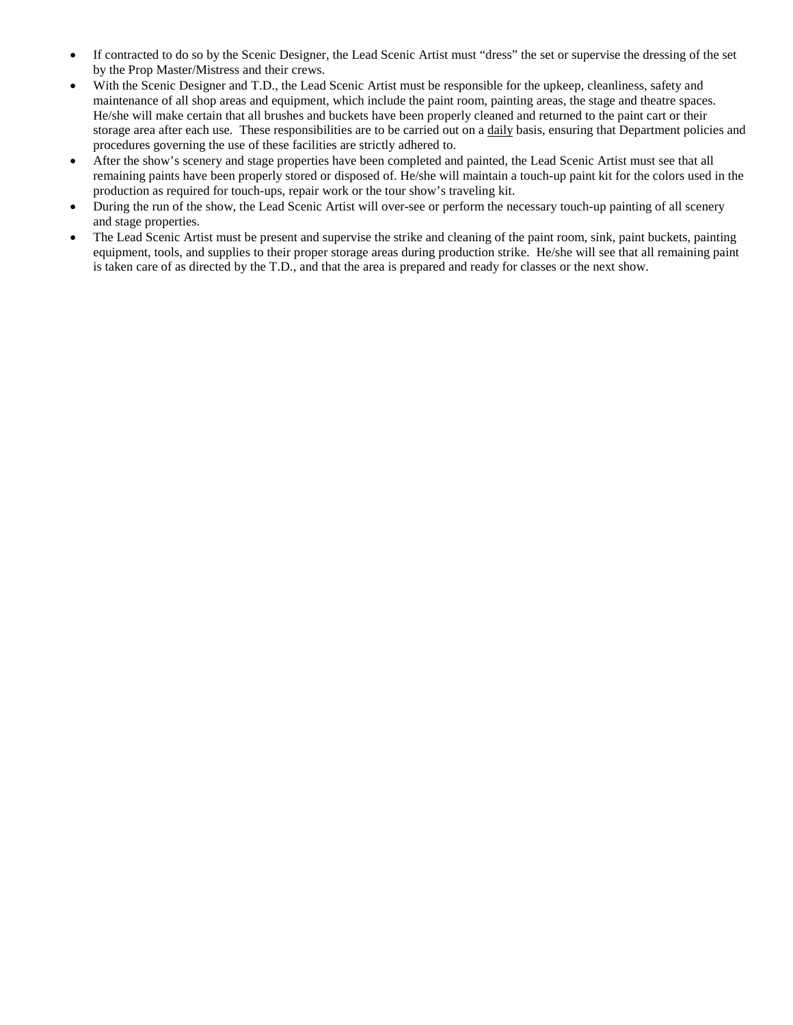- If contracted to do so by the Scenic Designer, the Lead Scenic Artist must "dress" the set or supervise the dressing of the set by the Prop Master/Mistress and their crews.
- With the Scenic Designer and T.D., the Lead Scenic Artist must be responsible for the upkeep, cleanliness, safety and maintenance of all shop areas and equipment, which include the paint room, painting areas, the stage and theatre spaces. He/she will make certain that all brushes and buckets have been properly cleaned and returned to the paint cart or their storage area after each use. These responsibilities are to be carried out on a daily basis, ensuring that Department policies and procedures governing the use of these facilities are strictly adhered to.
- After the show's scenery and stage properties have been completed and painted, the Lead Scenic Artist must see that all remaining paints have been properly stored or disposed of. He/she will maintain a touch-up paint kit for the colors used in the production as required for touch-ups, repair work or the tour show's traveling kit.
- During the run of the show, the Lead Scenic Artist will over-see or perform the necessary touch-up painting of all scenery and stage properties.
- The Lead Scenic Artist must be present and supervise the strike and cleaning of the paint room, sink, paint buckets, painting equipment, tools, and supplies to their proper storage areas during production strike. He/she will see that all remaining paint is taken care of as directed by the T.D., and that the area is prepared and ready for classes or the next show.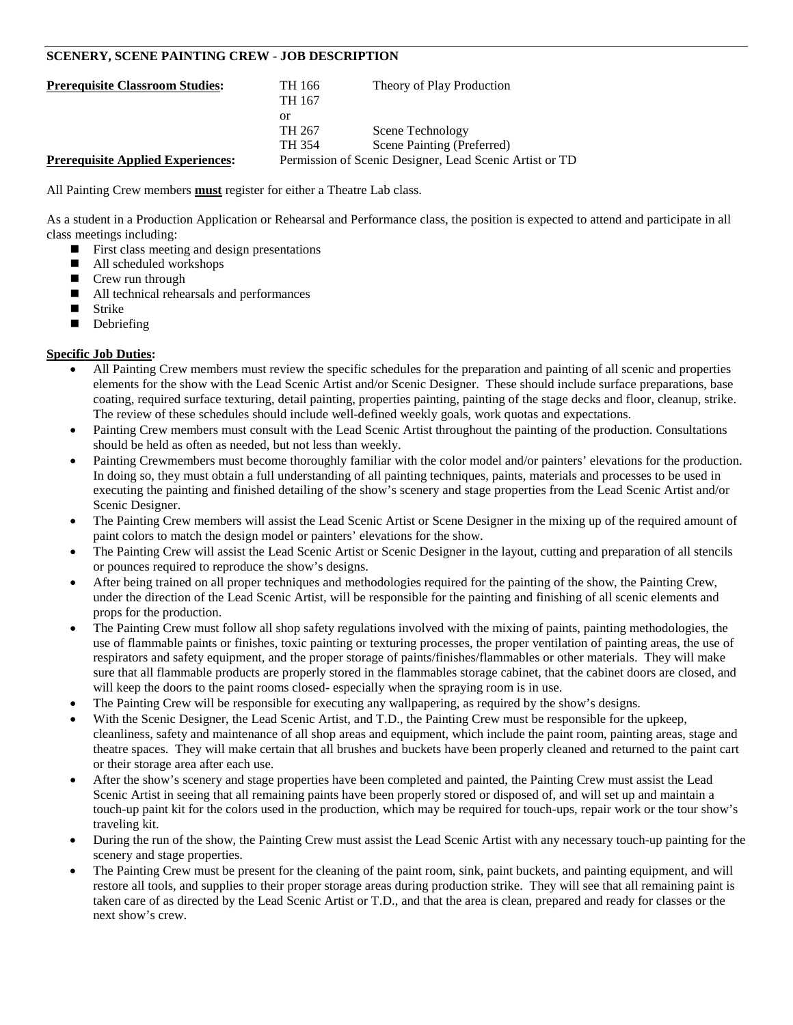# **SCENERY, SCENE PAINTING CREW - JOB DESCRIPTION**

| <b>Prerequisite Classroom Studies:</b>   | TH 166 | Theory of Play Production                               |
|------------------------------------------|--------|---------------------------------------------------------|
|                                          | TH 167 |                                                         |
|                                          | or     |                                                         |
|                                          | TH 267 | Scene Technology                                        |
|                                          | TH 354 | Scene Painting (Preferred)                              |
| <b>Prerequisite Applied Experiences:</b> |        | Permission of Scenic Designer, Lead Scenic Artist or TD |

All Painting Crew members **must** register for either a Theatre Lab class.

As a student in a Production Application or Rehearsal and Performance class, the position is expected to attend and participate in all class meetings including:

- $\blacksquare$  First class meeting and design presentations
- All scheduled workshops
- Crew run through
- All technical rehearsals and performances
- **Strike**
- Debriefing

- All Painting Crew members must review the specific schedules for the preparation and painting of all scenic and properties elements for the show with the Lead Scenic Artist and/or Scenic Designer. These should include surface preparations, base coating, required surface texturing, detail painting, properties painting, painting of the stage decks and floor, cleanup, strike. The review of these schedules should include well-defined weekly goals, work quotas and expectations.
- Painting Crew members must consult with the Lead Scenic Artist throughout the painting of the production. Consultations should be held as often as needed, but not less than weekly.
- Painting Crewmembers must become thoroughly familiar with the color model and/or painters' elevations for the production. In doing so, they must obtain a full understanding of all painting techniques, paints, materials and processes to be used in executing the painting and finished detailing of the show's scenery and stage properties from the Lead Scenic Artist and/or Scenic Designer.
- The Painting Crew members will assist the Lead Scenic Artist or Scene Designer in the mixing up of the required amount of paint colors to match the design model or painters' elevations for the show.
- The Painting Crew will assist the Lead Scenic Artist or Scenic Designer in the layout, cutting and preparation of all stencils or pounces required to reproduce the show's designs.
- After being trained on all proper techniques and methodologies required for the painting of the show, the Painting Crew, under the direction of the Lead Scenic Artist, will be responsible for the painting and finishing of all scenic elements and props for the production.
- The Painting Crew must follow all shop safety regulations involved with the mixing of paints, painting methodologies, the use of flammable paints or finishes, toxic painting or texturing processes, the proper ventilation of painting areas, the use of respirators and safety equipment, and the proper storage of paints/finishes/flammables or other materials. They will make sure that all flammable products are properly stored in the flammables storage cabinet, that the cabinet doors are closed, and will keep the doors to the paint rooms closed- especially when the spraying room is in use.
- The Painting Crew will be responsible for executing any wallpapering, as required by the show's designs.
- With the Scenic Designer, the Lead Scenic Artist, and T.D., the Painting Crew must be responsible for the upkeep, cleanliness, safety and maintenance of all shop areas and equipment, which include the paint room, painting areas, stage and theatre spaces. They will make certain that all brushes and buckets have been properly cleaned and returned to the paint cart or their storage area after each use.
- After the show's scenery and stage properties have been completed and painted, the Painting Crew must assist the Lead Scenic Artist in seeing that all remaining paints have been properly stored or disposed of, and will set up and maintain a touch-up paint kit for the colors used in the production, which may be required for touch-ups, repair work or the tour show's traveling kit.
- During the run of the show, the Painting Crew must assist the Lead Scenic Artist with any necessary touch-up painting for the scenery and stage properties.
- The Painting Crew must be present for the cleaning of the paint room, sink, paint buckets, and painting equipment, and will restore all tools, and supplies to their proper storage areas during production strike. They will see that all remaining paint is taken care of as directed by the Lead Scenic Artist or T.D., and that the area is clean, prepared and ready for classes or the next show's crew.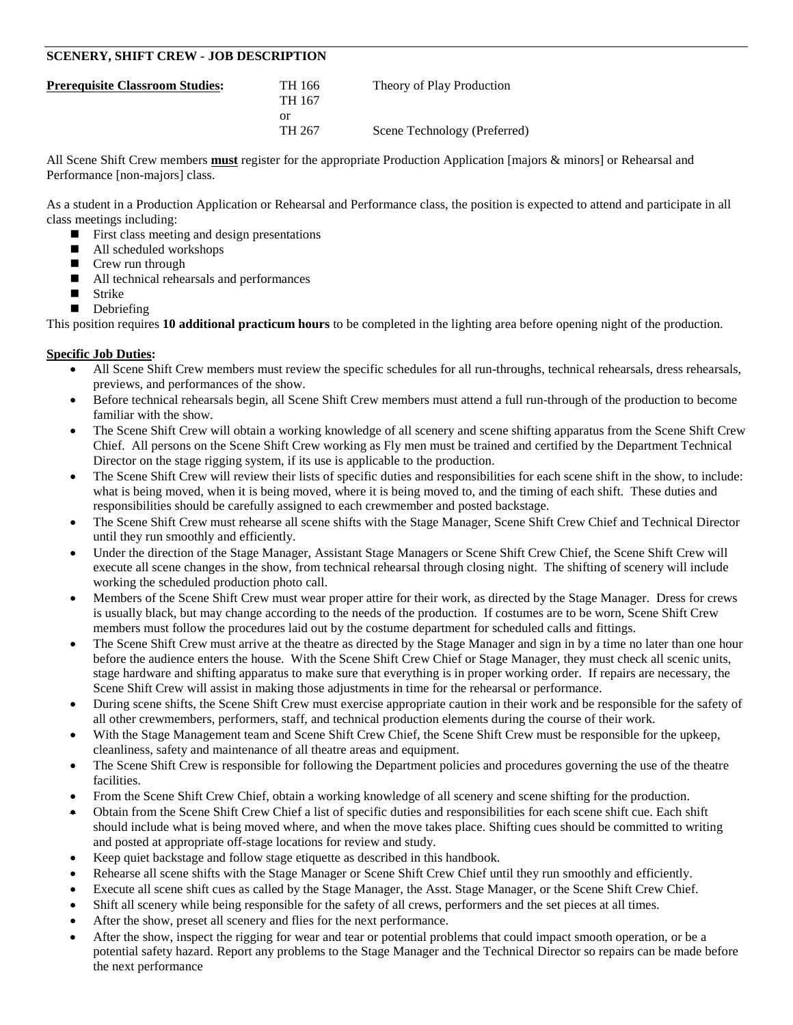# **SCENERY, SHIFT CREW - JOB DESCRIPTION**

| TH 166 | Theory of Play Production    |
|--------|------------------------------|
| TH 167 |                              |
| or     |                              |
| TH 267 | Scene Technology (Preferred) |
|        |                              |

All Scene Shift Crew members **must** register for the appropriate Production Application [majors & minors] or Rehearsal and Performance [non-majors] class.

As a student in a Production Application or Rehearsal and Performance class, the position is expected to attend and participate in all class meetings including:

- **First class meeting and design presentations**
- All scheduled workshops
- Crew run through
- $\blacksquare$  All technical rehearsals and performances<br> $\blacksquare$  Strike
- Strike
- Debriefing

This position requires **10 additional practicum hours** to be completed in the lighting area before opening night of the production.

- All Scene Shift Crew members must review the specific schedules for all run-throughs, technical rehearsals, dress rehearsals, previews, and performances of the show.
- Before technical rehearsals begin, all Scene Shift Crew members must attend a full run-through of the production to become familiar with the show.
- The Scene Shift Crew will obtain a working knowledge of all scenery and scene shifting apparatus from the Scene Shift Crew Chief. All persons on the Scene Shift Crew working as Fly men must be trained and certified by the Department Technical Director on the stage rigging system, if its use is applicable to the production.
- The Scene Shift Crew will review their lists of specific duties and responsibilities for each scene shift in the show, to include: what is being moved, when it is being moved, where it is being moved to, and the timing of each shift. These duties and responsibilities should be carefully assigned to each crewmember and posted backstage.
- The Scene Shift Crew must rehearse all scene shifts with the Stage Manager, Scene Shift Crew Chief and Technical Director until they run smoothly and efficiently.
- Under the direction of the Stage Manager, Assistant Stage Managers or Scene Shift Crew Chief, the Scene Shift Crew will execute all scene changes in the show, from technical rehearsal through closing night. The shifting of scenery will include working the scheduled production photo call.
- Members of the Scene Shift Crew must wear proper attire for their work, as directed by the Stage Manager. Dress for crews is usually black, but may change according to the needs of the production. If costumes are to be worn, Scene Shift Crew members must follow the procedures laid out by the costume department for scheduled calls and fittings.
- The Scene Shift Crew must arrive at the theatre as directed by the Stage Manager and sign in by a time no later than one hour before the audience enters the house. With the Scene Shift Crew Chief or Stage Manager, they must check all scenic units, stage hardware and shifting apparatus to make sure that everything is in proper working order. If repairs are necessary, the Scene Shift Crew will assist in making those adjustments in time for the rehearsal or performance.
- During scene shifts, the Scene Shift Crew must exercise appropriate caution in their work and be responsible for the safety of all other crewmembers, performers, staff, and technical production elements during the course of their work.
- With the Stage Management team and Scene Shift Crew Chief, the Scene Shift Crew must be responsible for the upkeep, cleanliness, safety and maintenance of all theatre areas and equipment.
- The Scene Shift Crew is responsible for following the Department policies and procedures governing the use of the theatre facilities.
- From the Scene Shift Crew Chief, obtain a working knowledge of all scenery and scene shifting for the production.
- Obtain from the Scene Shift Crew Chief a list of specific duties and responsibilities for each scene shift cue. Each shift should include what is being moved where, and when the move takes place. Shifting cues should be committed to writing and posted at appropriate off-stage locations for review and study.
- Keep quiet backstage and follow stage etiquette as described in this handbook.
- Rehearse all scene shifts with the Stage Manager or Scene Shift Crew Chief until they run smoothly and efficiently.
- Execute all scene shift cues as called by the Stage Manager, the Asst. Stage Manager, or the Scene Shift Crew Chief.
- Shift all scenery while being responsible for the safety of all crews, performers and the set pieces at all times.
- After the show, preset all scenery and flies for the next performance.
- After the show, inspect the rigging for wear and tear or potential problems that could impact smooth operation, or be a potential safety hazard. Report any problems to the Stage Manager and the Technical Director so repairs can be made before the next performance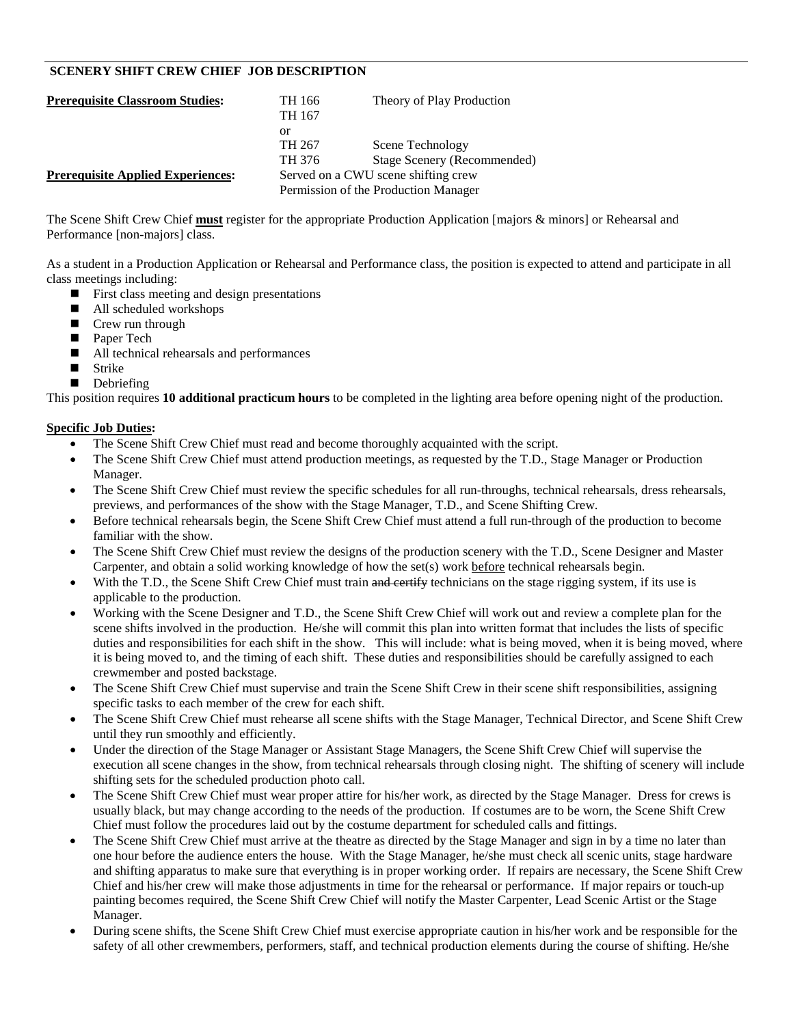# **SCENERY SHIFT CREW CHIEF JOB DESCRIPTION**

| <b>Prerequisite Classroom Studies:</b>   | TH 166                               | Theory of Play Production   |
|------------------------------------------|--------------------------------------|-----------------------------|
|                                          | TH 167                               |                             |
|                                          | or                                   |                             |
|                                          | TH 267                               | Scene Technology            |
|                                          | TH 376                               | Stage Scenery (Recommended) |
| <b>Prerequisite Applied Experiences:</b> | Served on a CWU scene shifting crew  |                             |
|                                          | Permission of the Production Manager |                             |

The Scene Shift Crew Chief **must** register for the appropriate Production Application [majors & minors] or Rehearsal and Performance [non-majors] class.

As a student in a Production Application or Rehearsal and Performance class, the position is expected to attend and participate in all class meetings including:

- **First class meeting and design presentations**
- All scheduled workshops
- Crew run through
- Paper Tech
- All technical rehearsals and performances
- Strike
- Debriefing

This position requires **10 additional practicum hours** to be completed in the lighting area before opening night of the production.

- The Scene Shift Crew Chief must read and become thoroughly acquainted with the script.
- The Scene Shift Crew Chief must attend production meetings, as requested by the T.D., Stage Manager or Production Manager.
- The Scene Shift Crew Chief must review the specific schedules for all run-throughs, technical rehearsals, dress rehearsals, previews, and performances of the show with the Stage Manager, T.D., and Scene Shifting Crew.
- Before technical rehearsals begin, the Scene Shift Crew Chief must attend a full run-through of the production to become familiar with the show.
- The Scene Shift Crew Chief must review the designs of the production scenery with the T.D., Scene Designer and Master Carpenter, and obtain a solid working knowledge of how the set(s) work before technical rehearsals begin.
- With the T.D., the Scene Shift Crew Chief must train and certify technicians on the stage rigging system, if its use is applicable to the production.
- Working with the Scene Designer and T.D., the Scene Shift Crew Chief will work out and review a complete plan for the scene shifts involved in the production. He/she will commit this plan into written format that includes the lists of specific duties and responsibilities for each shift in the show. This will include: what is being moved, when it is being moved, where it is being moved to, and the timing of each shift. These duties and responsibilities should be carefully assigned to each crewmember and posted backstage.
- The Scene Shift Crew Chief must supervise and train the Scene Shift Crew in their scene shift responsibilities, assigning specific tasks to each member of the crew for each shift.
- The Scene Shift Crew Chief must rehearse all scene shifts with the Stage Manager, Technical Director, and Scene Shift Crew until they run smoothly and efficiently.
- Under the direction of the Stage Manager or Assistant Stage Managers, the Scene Shift Crew Chief will supervise the execution all scene changes in the show, from technical rehearsals through closing night. The shifting of scenery will include shifting sets for the scheduled production photo call.
- The Scene Shift Crew Chief must wear proper attire for his/her work, as directed by the Stage Manager. Dress for crews is usually black, but may change according to the needs of the production. If costumes are to be worn, the Scene Shift Crew Chief must follow the procedures laid out by the costume department for scheduled calls and fittings.
- The Scene Shift Crew Chief must arrive at the theatre as directed by the Stage Manager and sign in by a time no later than one hour before the audience enters the house. With the Stage Manager, he/she must check all scenic units, stage hardware and shifting apparatus to make sure that everything is in proper working order. If repairs are necessary, the Scene Shift Crew Chief and his/her crew will make those adjustments in time for the rehearsal or performance. If major repairs or touch-up painting becomes required, the Scene Shift Crew Chief will notify the Master Carpenter, Lead Scenic Artist or the Stage Manager.
- During scene shifts, the Scene Shift Crew Chief must exercise appropriate caution in his/her work and be responsible for the safety of all other crewmembers, performers, staff, and technical production elements during the course of shifting. He/she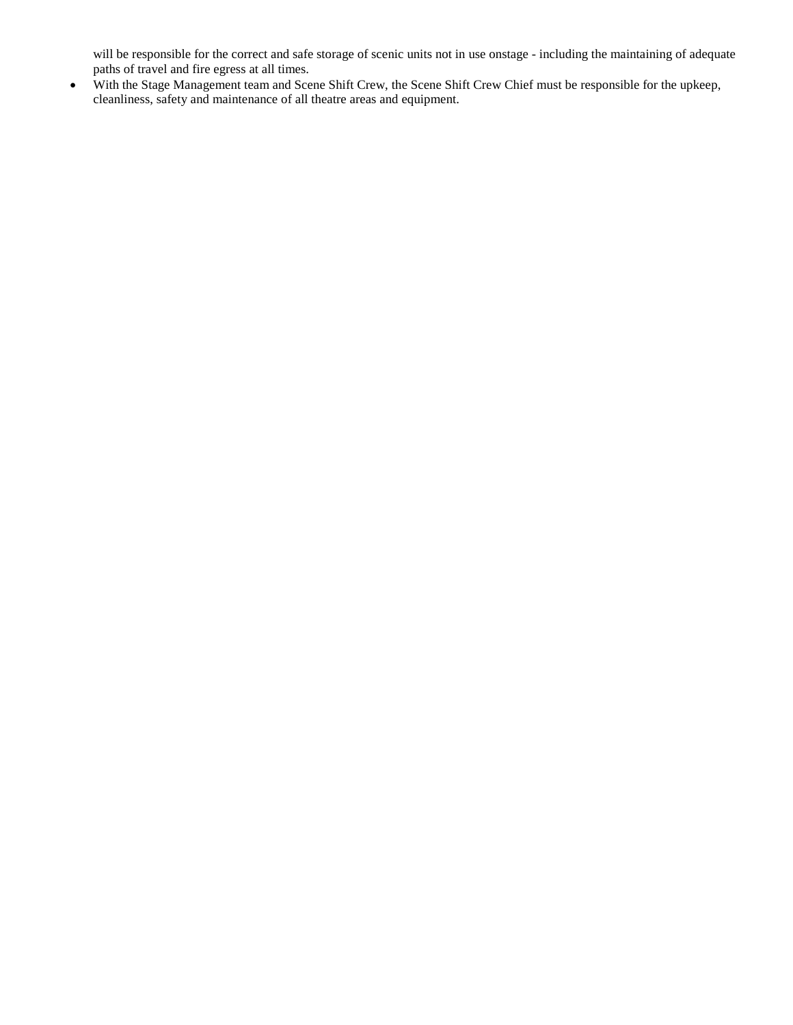will be responsible for the correct and safe storage of scenic units not in use onstage - including the maintaining of adequate paths of travel and fire egress at all times.

• With the Stage Management team and Scene Shift Crew, the Scene Shift Crew Chief must be responsible for the upkeep, cleanliness, safety and maintenance of all theatre areas and equipment.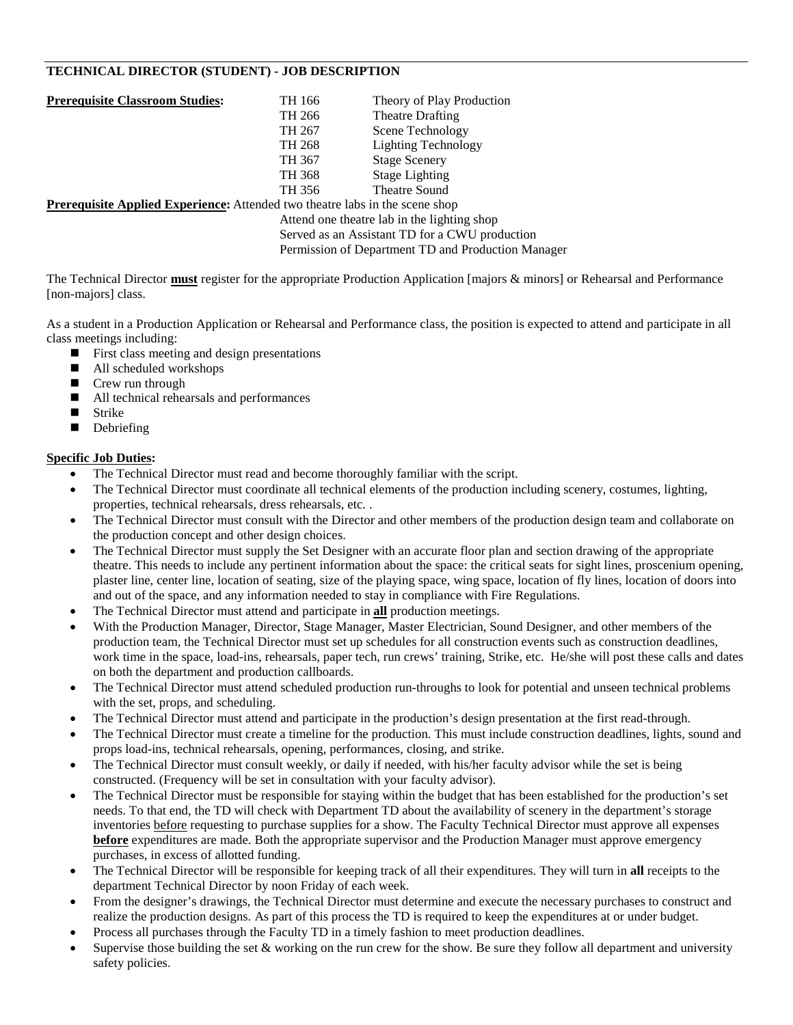# **TECHNICAL DIRECTOR (STUDENT) - JOB DESCRIPTION**

| <b>Prerequisite Classroom Studies:</b> | TH 166 | Theory of Play Production                                                                                                                                                                                                         |
|----------------------------------------|--------|-----------------------------------------------------------------------------------------------------------------------------------------------------------------------------------------------------------------------------------|
|                                        | TH 266 | <b>Theatre Drafting</b>                                                                                                                                                                                                           |
|                                        | TH 267 | Scene Technology                                                                                                                                                                                                                  |
|                                        | TH 268 | Lighting Technology                                                                                                                                                                                                               |
|                                        | TH 367 | <b>Stage Scenery</b>                                                                                                                                                                                                              |
|                                        | TH 368 | <b>Stage Lighting</b>                                                                                                                                                                                                             |
|                                        | TH 356 | Theatre Sound                                                                                                                                                                                                                     |
| $\cdots$<br>$\cdots$<br>$\blacksquare$ |        | $\mathbf{A}$ , and a set of the set of the set of the set of the set of the set of the set of the set of the set of the set of the set of the set of the set of the set of the set of the set of the set of the set of the set of |

**Prerequisite Applied Experience:** Attended two theatre labs in the scene shop

Attend one theatre lab in the lighting shop Served as an Assistant TD for a CWU production

Permission of Department TD and Production Manager

The Technical Director **must** register for the appropriate Production Application [majors & minors] or Rehearsal and Performance [non-majors] class.

As a student in a Production Application or Rehearsal and Performance class, the position is expected to attend and participate in all class meetings including:

- **First class meeting and design presentations**
- All scheduled workshops
- Crew run through
- All technical rehearsals and performances
- Strike
- Debriefing

- The Technical Director must read and become thoroughly familiar with the script.
- The Technical Director must coordinate all technical elements of the production including scenery, costumes, lighting, properties, technical rehearsals, dress rehearsals, etc. .
- The Technical Director must consult with the Director and other members of the production design team and collaborate on the production concept and other design choices.
- The Technical Director must supply the Set Designer with an accurate floor plan and section drawing of the appropriate theatre. This needs to include any pertinent information about the space: the critical seats for sight lines, proscenium opening, plaster line, center line, location of seating, size of the playing space, wing space, location of fly lines, location of doors into and out of the space, and any information needed to stay in compliance with Fire Regulations.
- The Technical Director must attend and participate in **all** production meetings.
- With the Production Manager, Director, Stage Manager, Master Electrician, Sound Designer, and other members of the production team, the Technical Director must set up schedules for all construction events such as construction deadlines, work time in the space, load-ins, rehearsals, paper tech, run crews' training, Strike, etc. He/she will post these calls and dates on both the department and production callboards.
- The Technical Director must attend scheduled production run-throughs to look for potential and unseen technical problems with the set, props, and scheduling.
- The Technical Director must attend and participate in the production's design presentation at the first read-through.
- The Technical Director must create a timeline for the production. This must include construction deadlines, lights, sound and props load-ins, technical rehearsals, opening, performances, closing, and strike.
- The Technical Director must consult weekly, or daily if needed, with his/her faculty advisor while the set is being constructed. (Frequency will be set in consultation with your faculty advisor).
- The Technical Director must be responsible for staying within the budget that has been established for the production's set needs. To that end, the TD will check with Department TD about the availability of scenery in the department's storage inventories before requesting to purchase supplies for a show. The Faculty Technical Director must approve all expenses **before** expenditures are made. Both the appropriate supervisor and the Production Manager must approve emergency purchases, in excess of allotted funding.
- The Technical Director will be responsible for keeping track of all their expenditures. They will turn in **all** receipts to the department Technical Director by noon Friday of each week.
- From the designer's drawings, the Technical Director must determine and execute the necessary purchases to construct and realize the production designs. As part of this process the TD is required to keep the expenditures at or under budget.
- Process all purchases through the Faculty TD in a timely fashion to meet production deadlines.
- Supervise those building the set  $&$  working on the run crew for the show. Be sure they follow all department and university safety policies.